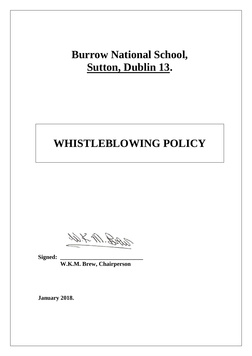## **Burrow National School, Sutton, Dublin 13.**

# **WHISTLEBLOWING POLICY**

With Mr.

Signed:

 **W.K.M. Brew, Chairperson**

**January 2018.**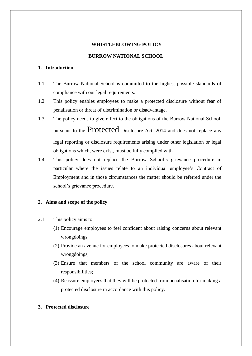## **WHISTLEBLOWING POLICY**

### **BURROW NATIONAL SCHOOL**

## **1. Introduction**

- 1.1 The Burrow National School is committed to the highest possible standards of compliance with our legal requirements.
- 1.2 This policy enables employees to make a protected disclosure without fear of penalisation or threat of discrimination or disadvantage.
- 1.3 The policy needs to give effect to the obligations of the Burrow National School. pursuant to the Protected Disclosure Act, 2014 and does not replace any legal reporting or disclosure requirements arising under other legislation or legal obligations which, were exist, must be fully complied with.
- 1.4 This policy does not replace the Burrow School's grievance procedure in particular where the issues relate to an individual employee's Contract of Employment and in those circumstances the matter should be referred under the school's grievance procedure.

## **2. Aims and scope of the policy**

- 2.1 This policy aims to
	- (1) Encourage employees to feel confident about raising concerns about relevant wrongdoings;
	- (2) Provide an avenue for employees to make protected disclosures about relevant wrongdoings;
	- (3) Ensure that members of the school community are aware of their responsibilities;
	- (4) Reassure employees that they will be protected from penalisation for making a protected disclosure in accordance with this policy.

#### **3. Protected disclosure**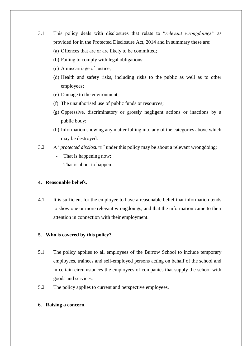- 3.1 This policy deals with disclosures that relate to "*relevant wrongdoings"* as provided for in the Protected Disclosure Act, 2014 and in summary these are:
	- (a) Offences that are or are likely to be committed;
	- (b) Failing to comply with legal obligations;
	- (c) A miscarriage of justice;
	- (d) Health and safety risks, including risks to the public as well as to other employees;
	- (e) Damage to the environment;
	- (f) The unauthorised use of public funds or resources;
	- (g) Oppressive, discriminatory or grossly negligent actions or inactions by a public body;
	- (h) Information showing any matter falling into any of the categories above which may be destroyed.
- 3.2 A "*protected disclosure"* under this policy may be about a relevant wrongdoing:
	- That is happening now;
	- That is about to happen.

#### **4. Reasonable beliefs.**

4.1 It is sufficient for the employee to have a reasonable belief that information tends to show one or more relevant wrongdoings, and that the information came to their attention in connection with their employment.

#### **5. Who is covered by this policy?**

- 5.1 The policy applies to all employees of the Burrow School to include temporary employees, trainees and self-employed persons acting on behalf of the school and in certain circumstances the employees of companies that supply the school with goods and services.
- 5.2 The policy applies to current and perspective employees.
- **6. Raising a concern.**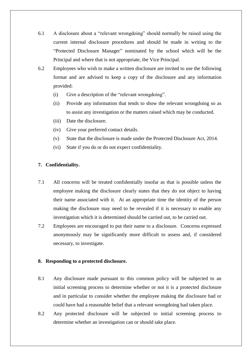- 6.1 A disclosure about a "relevant wrongdoing" should normally be raised using the current internal disclosure procedures and should be made in writing to the "Protected Disclosure Manager" nominated by the school which will be the Principal and where that is not appropriate, the Vice Principal.
- 6.2 Employees who wish to make a written disclosure are invited to use the following format and are advised to keep a copy of the disclosure and any information provided:
	- (i) Give a description of the "relevant wrongdoing".
	- (ii) Provide any information that tends to show the relevant wrongdoing so as to assist any investigation or the matters raised which may be conducted.
	- (iii) Date the disclosure.
	- (iv) Give your preferred contact details.
	- (v) State that the disclosure is made under the Protected Disclosure Act, 2014.
	- (vi) State if you do or do not expect confidentiality.

## **7. Confidentiality.**

- 7.1 All concerns will be treated confidentially insofar as that is possible unless the employee making the disclosure clearly states that they do not object to having their name associated with it. At an appropriate time the identity of the person making the disclosure may need to be revealed if it is necessary to enable any investigation which it is determined should be carried out, to be carried out.
- 7.2 Employees are encouraged to put their name to a disclosure. Concerns expressed anonymously may be significantly more difficult to assess and, if considered necessary, to investigate.

#### **8. Responding to a protected disclosure.**

- 8.1 Any disclosure made pursuant to this common policy will be subjected to an initial screening process to determine whether or not it is a protected disclosure and in particular to consider whether the employee making the disclosure had or could have had a reasonable belief that a relevant wrongdoing had taken place.
- 8.2 Any protected disclosure will be subjected to initial screening process to determine whether an investigation can or should take place.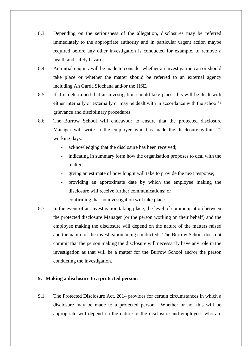- 8.3 Depending on the seriousness of the allegation, disclosures may be referred immediately to the appropriate authority and in particular urgent action maybe required before any other investigation is conducted for example, to remove a health and safety hazard.
- 8.4 An initial enquiry will be made to consider whether an investigation can or should take place or whether the matter should be referred to an external agency including An Garda Siochana and/or the HSE.
- 8.5 If it is determined that an investigation should take place, this will be dealt with either internally or externally or may be dealt with in accordance with the school's grievance and disciplinary procedures.
- 8.6 The Burrow School will endeavour to ensure that the protected disclosure Manager will write to the employee who has made the disclosure within 21 working days:
	- acknowledging that the disclosure has been received;
	- indicating in summary form how the organisation proposes to deal with the matter;
	- giving an estimate of how long it will take to provide the next response;
	- providing an approximate date by which the employee making the disclosure will receive further communications; or
	- confirming that no investigation will take place.
- 8.7 In the event of an investigation taking place, the level of communication between the protected disclosure Manager (or the person working on their behalf) and the employee making the disclosure will depend on the nature of the matters raised and the nature of the investigation being conducted. The Burrow School does not commit that the person making the disclosure will necessarily have any role in the investigation as that will be a matter for the Burrow School and/or the person conducting the investigation.

### **9. Making a disclosure to a protected person.**

9.1 The Protected Disclosure Act, 2014 provides for certain circumstances in which a disclosure may be made to a protected person. Whether or not this will be appropriate will depend on the nature of the disclosure and employees who are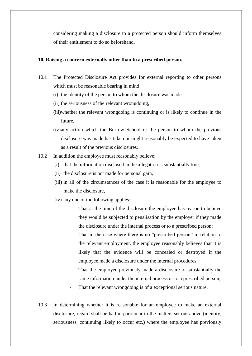considering making a disclosure to a protected person should inform themselves of their entitlement to do so beforehand.

#### **10. Raising a concern externally other than to a prescribed person.**

- 10.1 The Protected Disclosure Act provides for external reporting to other persons which must be reasonable bearing in mind:
	- (i) the identity of the person to whom the disclosure was made,
	- (ii) the seriousness of the relevant wrongdoing,
	- (iii)whether the relevant wrongdoing is continuing or is likely to continue in the future,
	- (iv)any action which the Burrow School or the person to whom the previous disclosure was made has taken or might reasonably be expected to have taken as a result of the previous disclosures.
- 10.2 In addition the employee must reasonably believe:
	- (i) that the information disclosed in the allegation is substantially true,
	- (ii) the disclosure is not made for personal gain,
	- (iii) in all of the circumstances of the case it is reasonable for the employee to make the disclosure,
	- (iv) any one of the following applies:
		- That at the time of the disclosure the employee has reason to believe they would be subjected to penalisation by the employer if they made the disclosure under the internal process or to a prescribed person;
		- That in the case where there is no "prescribed person" in relation to the relevant employment, the employee reasonably believes that it is likely that the evidence will be concealed or destroyed if the employee made a disclosure under the internal procedures;
		- That the employee previously made a disclosure of substantially the same information under the internal process or to a prescribed person;
		- That the relevant wrongdoing is of a exceptional serious nature.
- 10.3 In determining whether it is reasonable for an employee to make an external disclosure, regard shall be had in particular to the matters set out above (identity, seriousness, continuing likely to occur etc.) where the employee has previously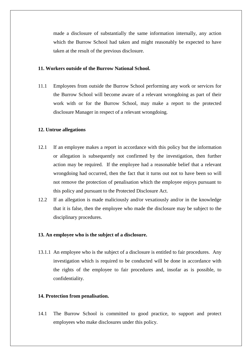made a disclosure of substantially the same information internally, any action which the Burrow School had taken and might reasonably be expected to have taken at the result of the previous disclosure.

#### **11. Workers outside of the Burrow National School.**

11.1 Employees from outside the Burrow School performing any work or services for the Burrow School will become aware of a relevant wrongdoing as part of their work with or for the Burrow School, may make a report to the protected disclosure Manager in respect of a relevant wrongdoing.

#### **12. Untrue allegations**

- 12.1 If an employee makes a report in accordance with this policy but the information or allegation is subsequently not confirmed by the investigation, then further action may be required. If the employee had a reasonable belief that a relevant wrongdoing had occurred, then the fact that it turns out not to have been so will not remove the protection of penalisation which the employee enjoys pursuant to this policy and pursuant to the Protected Disclosure Act.
- 12.2 If an allegation is made maliciously and/or vexatiously and/or in the knowledge that it is false, then the employee who made the disclosure may be subject to the disciplinary procedures.

#### **13. An employee who is the subject of a disclosure.**

13.1.1 An employee who is the subject of a disclosure is entitled to fair procedures. Any investigation which is required to be conducted will be done in accordance with the rights of the employee to fair procedures and, insofar as is possible, to confidentiality.

#### **14. Protection from penalisation.**

14.1 The Burrow School is committed to good practice, to support and protect employees who make disclosures under this policy.